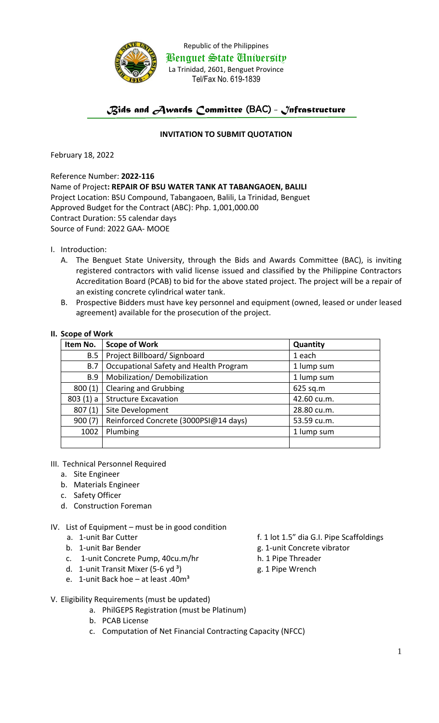

Republic of the Philippines Benguet State University La Trinidad, 2601, Benguet Province Tel/Fax No. 619-1839

## *Bids and Awards Committee* (BAC) *- Infrastructure*

## **INVITATION TO SUBMIT QUOTATION**

February 18, 2022

Reference Number: **2022-116** Name of Project**: REPAIR OF BSU WATER TANK AT TABANGAOEN, BALILI** Project Location: BSU Compound, Tabangaoen, Balili, La Trinidad, Benguet Approved Budget for the Contract (ABC): Php. 1,001,000.00 Contract Duration: 55 calendar days Source of Fund: 2022 GAA- MOOE

- I. Introduction:
	- A. The Benguet State University, through the Bids and Awards Committee (BAC), is inviting registered contractors with valid license issued and classified by the Philippine Contractors Accreditation Board (PCAB) to bid for the above stated project. The project will be a repair of an existing concrete cylindrical water tank.
	- B. Prospective Bidders must have key personnel and equipment (owned, leased or under leased agreement) available for the prosecution of the project.

## **II. Scope of Work**

| Item No.   | <b>Scope of Work</b>                   | Quantity    |
|------------|----------------------------------------|-------------|
| B.5        | Project Billboard/Signboard            | 1 each      |
| B.7        | Occupational Safety and Health Program | 1 lump sum  |
| <b>B.9</b> | Mobilization/Demobilization            | 1 lump sum  |
| 800(1)     | <b>Clearing and Grubbing</b>           | 625 sq.m    |
| 803(1) a   | <b>Structure Excavation</b>            | 42.60 cu.m. |
| 807(1)     | Site Development                       | 28.80 cu.m. |
| 900(7)     | Reinforced Concrete (3000PSI@14 days)  | 53.59 cu.m. |
| 1002       | Plumbing                               | 1 lump sum  |
|            |                                        |             |

- III. Technical Personnel Required
	- a. Site Engineer
	- b. Materials Engineer
	- c. Safety Officer
	- d. Construction Foreman
- IV. List of Equipment must be in good condition
	- -
		- c. 1-unit Concrete Pump, 40cu.m/hr h. 1 Pipe Threader
		- d. 1-unit Transit Mixer (5-6 yd<sup>3</sup>)  $\qquad \qquad$  g. 1 Pipe Wrench
		- e. 1-unit Back hoe  $-$  at least .40 $m<sup>3</sup>$
		- a. 1-unit Bar Cutter for the same state of the f. 1 lot 1.5" dia G.I. Pipe Scaffoldings
		- b. 1-unit Bar Bender and the state of the state of g. 1-unit Concrete vibrator
			-
			-
- V. Eligibility Requirements (must be updated)
	- a. PhilGEPS Registration (must be Platinum)
	- b. PCAB License
	- c. Computation of Net Financial Contracting Capacity (NFCC)